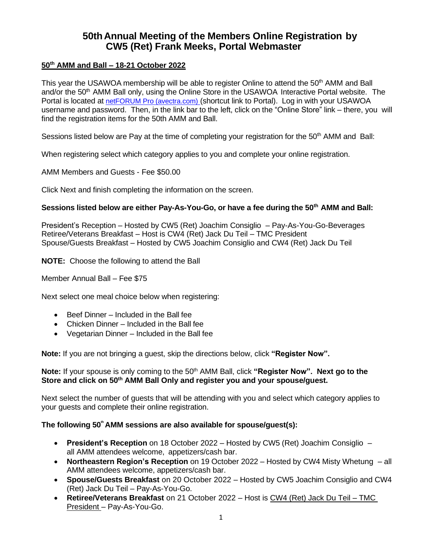# **50thAnnual Meeting of the Members Online Registration by CW5 (Ret) Frank Meeks, Portal Webmaster**

# **50th AMM and Ball – 18-21 October 2022**

This year the USAWOA membership will be able to register Online to attend the 50<sup>th</sup> AMM and Ball and/or the 50<sup>th</sup> AMM Ball only, using the Online Store in the USAWOA Interactive Portal website. The Portal is located at [netFORUM Pro](https://netforum.avectra.com/eWeb/StartPage.aspx?Site=USAWOA) (avectra.com) (shortcut link to Portal). Log in with your USAWOA username and password. Then, in the link bar to the left, click on the "Online Store" link – there, you will find the registration items for the 50th AMM and Ball.

Sessions listed below are Pay at the time of completing your registration for the  $50<sup>th</sup>$  AMM and Ball:

When registering select which category applies to you and complete your online registration.

AMM Members and Guests - Fee \$50.00

Click Next and finish completing the information on the screen.

#### **Sessions listed below are either Pay-As-You-Go, or have a fee during the 50th AMM and Ball:**

President's Reception – Hosted by CW5 (Ret) Joachim Consiglio – Pay-As-You-Go-Beverages Retiree/Veterans Breakfast – Host is CW4 (Ret) Jack Du Teil – TMC President Spouse/Guests Breakfast – Hosted by CW5 Joachim Consiglio and CW4 (Ret) Jack Du Teil

**NOTE:** Choose the following to attend the Ball

Member Annual Ball – Fee \$75

Next select one meal choice below when registering:

- Beef Dinner Included in the Ball fee
- Chicken Dinner Included in the Ball fee
- Vegetarian Dinner Included in the Ball fee

**Note:** If you are not bringing a guest, skip the directions below, click **"Register Now".**

#### **Note:** If your spouse is only coming to the 50<sup>th</sup> AMM Ball, click "Register Now". Next go to the **Store and click on 50th AMM Ball Only and register you and your spouse/guest.**

Next select the number of guests that will be attending with you and select which category applies to your guests and complete their online registration.

### **The following 50th AMM sessions are also available for spouse/guest(s):**

- **President's Reception** on 18 October 2022 Hosted by CW5 (Ret) Joachim Consiglio all AMM attendees welcome, appetizers/cash bar.
- **Northeastern Region's Reception** on 19 October 2022 Hosted by CW4 Misty Whetung all AMM attendees welcome, appetizers/cash bar.
- **Spouse/Guests Breakfast** on 20 October 2022 Hosted by CW5 Joachim Consiglio and CW4 (Ret) Jack Du Teil – Pay-As-You-Go.
- **Retiree/Veterans Breakfast** on 21 October 2022 Host is CW4 (Ret) Jack Du Teil TMC President – Pay-As-You-Go.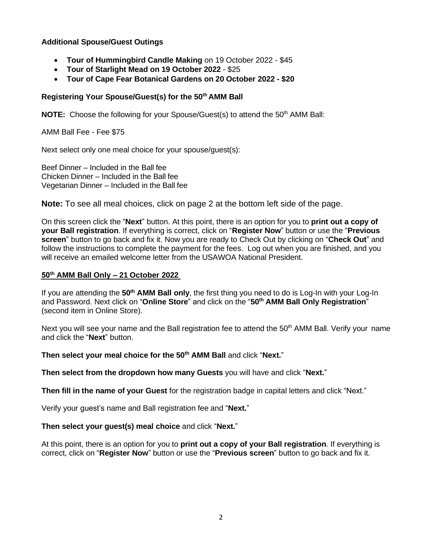### **Additional Spouse/Guest Outings**

- **Tour of Hummingbird Candle Making** on 19 October 2022 \$45
- **Tour of Starlight Mead on 19 October 2022** \$25
- **Tour of Cape Fear Botanical Gardens on 20 October 2022 - \$20**

# **Registering Your Spouse/Guest(s) for the 50th AMM Ball**

**NOTE:** Choose the following for your Spouse/Guest(s) to attend the 50<sup>th</sup> AMM Ball:

AMM Ball Fee - Fee \$75

Next select only one meal choice for your spouse/guest(s):

Beef Dinner – Included in the Ball fee Chicken Dinner – Included in the Ball fee Vegetarian Dinner – Included in the Ball fee

**Note:** To see all meal choices, click on page 2 at the bottom left side of the page.

On this screen click the "**Next**" button. At this point, there is an option for you to **print out a copy of your Ball registration**. If everything is correct, click on "**Register Now**" button or use the "**Previous screen**" button to go back and fix it. Now you are ready to Check Out by clicking on "**Check Out**" and follow the instructions to complete the payment for the fees. Log out when you are finished, and you will receive an emailed welcome letter from the USAWOA National President.

# **50th AMM Ball Only – 21 October 2022**

If you are attending the **50th AMM Ball only**, the first thing you need to do is Log-In with your Log-In and Password. Next click on "**Online Store**" and click on the "**50th AMM Ball Only Registration**" (second item in Online Store).

Next you will see your name and the Ball registration fee to attend the 50<sup>th</sup> AMM Ball. Verify your name and click the "**Next**" button.

**Then select your meal choice for the 50th AMM Ball** and click "**Next.**"

**Then select from the dropdown how many Guests** you will have and click "**Next.**"

**Then fill in the name of your Guest** for the registration badge in capital letters and click "Next."

Verify your guest's name and Ball registration fee and "**Next.**"

**Then select your guest(s) meal choice** and click "**Next.**"

At this point, there is an option for you to **print out a copy of your Ball registration**. If everything is correct, click on "**Register Now**" button or use the "**Previous screen**" button to go back and fix it.